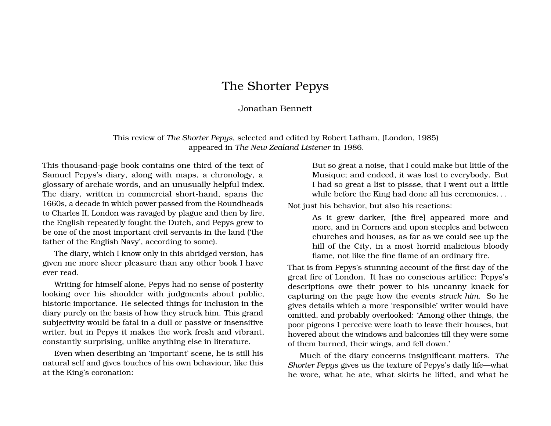## The Shorter Pepys

## Jonathan Bennett

This review of *The Shorter Pepys*, selected and edited by Robert Latham, (London, 1985) appeared in *The New Zealand Listener* in 1986.

This thousand-page book contains one third of the text of Samuel Pepys's diary, along with maps, a chronology, a glossary of archaic words, and an unusually helpful index. The diary, written in commercial short-hand, spans the 1660s, a decade in which power passed from the Roundheads to Charles II, London was ravaged by plague and then by fire, the English repeatedly fought the Dutch, and Pepys grew to be one of the most important civil servants in the land ('the father of the English Navy', according to some).

The diary, which I know only in this abridged version, has given me more sheer pleasure than any other book I have ever read.

Writing for himself alone, Pepys had no sense of posterity looking over his shoulder with judgments about public, historic importance. He selected things for inclusion in the diary purely on the basis of how they struck him. This grand subjectivity would be fatal in a dull or passive or insensitive writer, but in Pepys it makes the work fresh and vibrant, constantly surprising, unlike anything else in literature.

Even when describing an 'important' scene, he is still his natural self and gives touches of his own behaviour, like this at the King's coronation:

But so great a noise, that I could make but little of the Musique; and endeed, it was lost to everybody. But I had so great a list to pissse, that I went out a little while before the King had done all his ceremonies. . .

Not just his behavior, but also his reactions:

As it grew darker, [the fire] appeared more and more, and in Corners and upon steeples and between churches and houses, as far as we could see up the hill of the City, in a most horrid malicious bloody flame, not like the fine flame of an ordinary fire.

That is from Pepys's stunning account of the first day of the great fire of London. It has no conscious artifice: Pepys's descriptions owe their power to his uncanny knack for capturing on the page how the events *struck him*. So he gives details which a more 'responsible' writer would have omitted, and probably overlooked: 'Among other things, the poor pigeons I perceive were loath to leave their houses, but hovered about the windows and balconies till they were some of them burned, their wings, and fell down.'

Much of the diary concerns insignificant matters. *The Shorter Pepys* gives us the texture of Pepys's daily life—what he wore, what he ate, what skirts he lifted, and what he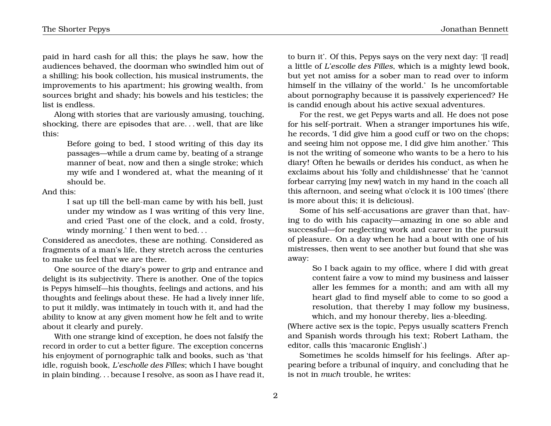paid in hard cash for all this; the plays he saw, how the audiences behaved, the doorman who swindled him out of a shilling; his book collection, his musical instruments, the improvements to his apartment; his growing wealth, from sources bright and shady; his bowels and his testicles; the list is endless.

Along with stories that are variously amusing, touching, shocking, there are episodes that are. . . well, that are like this:

> Before going to bed, I stood writing of this day its passages—while a drum came by, beating of a strange manner of beat, now and then a single stroke; which my wife and I wondered at, what the meaning of it should be.

And this:

I sat up till the bell-man came by with his bell, just under my window as I was writing of this very line, and cried 'Past one of the clock, and a cold, frosty, windy morning.' I then went to bed. . .

Considered as anecdotes, these are nothing. Considered as fragments of a man's life, they stretch across the centuries to make us feel that we are there.

One source of the diary's power to grip and entrance and delight is its subjectivity. There is another. One of the topics is Pepys himself—his thoughts, feelings and actions, and his thoughts and feelings about these. He had a lively inner life, to put it mildly, was intimately in touch with it, and had the ability to know at any given moment how he felt and to write about it clearly and purely.

With one strange kind of exception, he does not falsify the record in order to cut a better figure. The exception concerns his enjoyment of pornographic talk and books, such as 'that idle, roguish book, *L'escholle des Filles*; which I have bought in plain binding. . . because I resolve, as soon as I have read it, to burn it'. Of this, Pepys says on the very next day: '[I read] a little of *L'escolle des Filles*, which is a mighty lewd book, but yet not amiss for a sober man to read over to inform himself in the villainy of the world.' Is he uncomfortable about pornography because it is passively experienced? He is candid enough about his active sexual adventures.

For the rest, we get Pepys warts and all. He does not pose for his self-portrait. When a stranger importunes his wife, he records, 'I did give him a good cuff or two on the chops; and seeing him not oppose me, I did give him another.' This is not the writing of someone who wants to be a hero to his diary! Often he bewails or derides his conduct, as when he exclaims about his 'folly and childishnesse' that he 'cannot forbear carrying [my new] watch in my hand in the coach all this afternoon, and seeing what o'clock it is 100 times' (there is more about this; it is delicious).

Some of his self-accusations are graver than that, having to do with his capacity—amazing in one so able and successful—for neglecting work and career in the pursuit of pleasure. On a day when he had a bout with one of his mistresses, then went to see another but found that she was away:

> So I back again to my office, where I did with great content faire a vow to mind my business and laisser aller les femmes for a month; and am with all my heart glad to find myself able to come to so good a resolution, that thereby I may follow my business, which, and my honour thereby, lies a-bleeding.

(Where active sex is the topic, Pepys usually scatters French and Spanish words through his text; Robert Latham, the editor, calls this 'macaronic English'.)

Sometimes he scolds himself for his feelings. After appearing before a tribunal of inquiry, and concluding that he is not in *much* trouble, he writes: